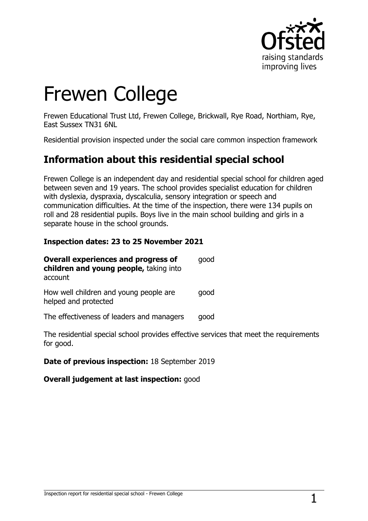

# Frewen College

Frewen Educational Trust Ltd, Frewen College, Brickwall, Rye Road, Northiam, Rye, East Sussex TN31 6NL

Residential provision inspected under the social care common inspection framework

## **Information about this residential special school**

Frewen College is an independent day and residential special school for children aged between seven and 19 years. The school provides specialist education for children with dyslexia, dyspraxia, dyscalculia, sensory integration or speech and communication difficulties. At the time of the inspection, there were 134 pupils on roll and 28 residential pupils. Boys live in the main school building and girls in a separate house in the school grounds.

#### **Inspection dates: 23 to 25 November 2021**

| <b>Overall experiences and progress of</b><br>children and young people, taking into<br>account | qood |
|-------------------------------------------------------------------------------------------------|------|
| How well children and young people are<br>helped and protected                                  | qood |
| The effectiveness of leaders and managers                                                       | qood |
| The recidential cnecial school provides effective servic                                        |      |

The residential special school provides effective services that meet the requirements for good.

#### **Date of previous inspection:** 18 September 2019

#### **Overall judgement at last inspection:** good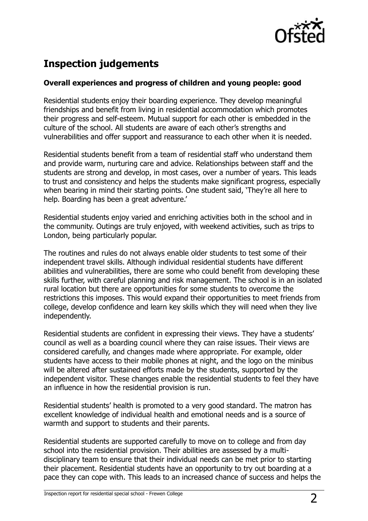

# **Inspection judgements**

#### **Overall experiences and progress of children and young people: good**

Residential students enjoy their boarding experience. They develop meaningful friendships and benefit from living in residential accommodation which promotes their progress and self-esteem. Mutual support for each other is embedded in the culture of the school. All students are aware of each other's strengths and vulnerabilities and offer support and reassurance to each other when it is needed.

Residential students benefit from a team of residential staff who understand them and provide warm, nurturing care and advice. Relationships between staff and the students are strong and develop, in most cases, over a number of years. This leads to trust and consistency and helps the students make significant progress, especially when bearing in mind their starting points. One student said, 'They're all here to help. Boarding has been a great adventure.'

Residential students enjoy varied and enriching activities both in the school and in the community. Outings are truly enjoyed, with weekend activities, such as trips to London, being particularly popular.

The routines and rules do not always enable older students to test some of their independent travel skills. Although individual residential students have different abilities and vulnerabilities, there are some who could benefit from developing these skills further, with careful planning and risk management. The school is in an isolated rural location but there are opportunities for some students to overcome the restrictions this imposes. This would expand their opportunities to meet friends from college, develop confidence and learn key skills which they will need when they live independently.

Residential students are confident in expressing their views. They have a students' council as well as a boarding council where they can raise issues. Their views are considered carefully, and changes made where appropriate. For example, older students have access to their mobile phones at night, and the logo on the minibus will be altered after sustained efforts made by the students, supported by the independent visitor. These changes enable the residential students to feel they have an influence in how the residential provision is run.

Residential students' health is promoted to a very good standard. The matron has excellent knowledge of individual health and emotional needs and is a source of warmth and support to students and their parents.

Residential students are supported carefully to move on to college and from day school into the residential provision. Their abilities are assessed by a multidisciplinary team to ensure that their individual needs can be met prior to starting their placement. Residential students have an opportunity to try out boarding at a pace they can cope with. This leads to an increased chance of success and helps the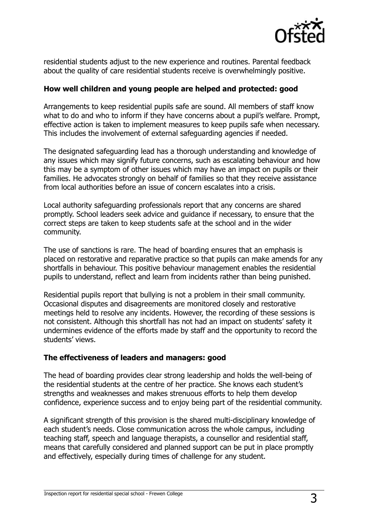

residential students adjust to the new experience and routines. Parental feedback about the quality of care residential students receive is overwhelmingly positive.

#### **How well children and young people are helped and protected: good**

Arrangements to keep residential pupils safe are sound. All members of staff know what to do and who to inform if they have concerns about a pupil's welfare. Prompt, effective action is taken to implement measures to keep pupils safe when necessary. This includes the involvement of external safeguarding agencies if needed.

The designated safeguarding lead has a thorough understanding and knowledge of any issues which may signify future concerns, such as escalating behaviour and how this may be a symptom of other issues which may have an impact on pupils or their families. He advocates strongly on behalf of families so that they receive assistance from local authorities before an issue of concern escalates into a crisis.

Local authority safeguarding professionals report that any concerns are shared promptly. School leaders seek advice and guidance if necessary, to ensure that the correct steps are taken to keep students safe at the school and in the wider community.

The use of sanctions is rare. The head of boarding ensures that an emphasis is placed on restorative and reparative practice so that pupils can make amends for any shortfalls in behaviour. This positive behaviour management enables the residential pupils to understand, reflect and learn from incidents rather than being punished.

Residential pupils report that bullying is not a problem in their small community. Occasional disputes and disagreements are monitored closely and restorative meetings held to resolve any incidents. However, the recording of these sessions is not consistent. Although this shortfall has not had an impact on students' safety it undermines evidence of the efforts made by staff and the opportunity to record the students' views.

#### **The effectiveness of leaders and managers: good**

The head of boarding provides clear strong leadership and holds the well-being of the residential students at the centre of her practice. She knows each student's strengths and weaknesses and makes strenuous efforts to help them develop confidence, experience success and to enjoy being part of the residential community.

A significant strength of this provision is the shared multi-disciplinary knowledge of each student's needs. Close communication across the whole campus, including teaching staff, speech and language therapists, a counsellor and residential staff, means that carefully considered and planned support can be put in place promptly and effectively, especially during times of challenge for any student.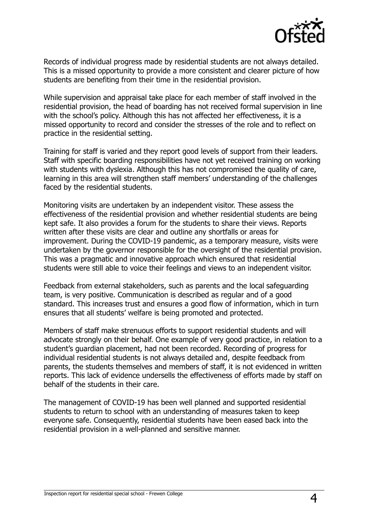

Records of individual progress made by residential students are not always detailed. This is a missed opportunity to provide a more consistent and clearer picture of how students are benefiting from their time in the residential provision.

While supervision and appraisal take place for each member of staff involved in the residential provision, the head of boarding has not received formal supervision in line with the school's policy. Although this has not affected her effectiveness, it is a missed opportunity to record and consider the stresses of the role and to reflect on practice in the residential setting.

Training for staff is varied and they report good levels of support from their leaders. Staff with specific boarding responsibilities have not yet received training on working with students with dyslexia. Although this has not compromised the quality of care, learning in this area will strengthen staff members' understanding of the challenges faced by the residential students.

Monitoring visits are undertaken by an independent visitor. These assess the effectiveness of the residential provision and whether residential students are being kept safe. It also provides a forum for the students to share their views. Reports written after these visits are clear and outline any shortfalls or areas for improvement. During the COVID-19 pandemic, as a temporary measure, visits were undertaken by the governor responsible for the oversight of the residential provision. This was a pragmatic and innovative approach which ensured that residential students were still able to voice their feelings and views to an independent visitor.

Feedback from external stakeholders, such as parents and the local safeguarding team, is very positive. Communication is described as regular and of a good standard. This increases trust and ensures a good flow of information, which in turn ensures that all students' welfare is being promoted and protected.

Members of staff make strenuous efforts to support residential students and will advocate strongly on their behalf. One example of very good practice, in relation to a student's guardian placement, had not been recorded. Recording of progress for individual residential students is not always detailed and, despite feedback from parents, the students themselves and members of staff, it is not evidenced in written reports. This lack of evidence undersells the effectiveness of efforts made by staff on behalf of the students in their care.

The management of COVID-19 has been well planned and supported residential students to return to school with an understanding of measures taken to keep everyone safe. Consequently, residential students have been eased back into the residential provision in a well-planned and sensitive manner.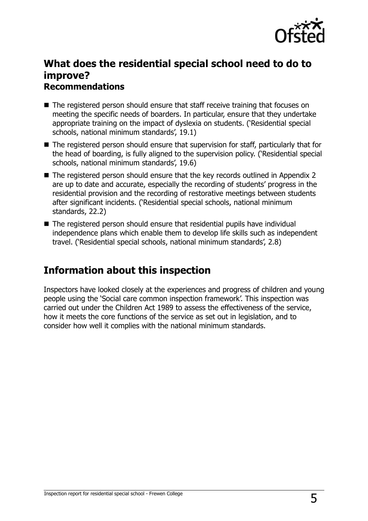

### **What does the residential special school need to do to improve? Recommendations**

- The registered person should ensure that staff receive training that focuses on meeting the specific needs of boarders. In particular, ensure that they undertake appropriate training on the impact of dyslexia on students. ('Residential special schools, national minimum standards', 19.1)
- The registered person should ensure that supervision for staff, particularly that for the head of boarding, is fully aligned to the supervision policy. ('Residential special schools, national minimum standards', 19.6)
- The registered person should ensure that the key records outlined in Appendix 2 are up to date and accurate, especially the recording of students' progress in the residential provision and the recording of restorative meetings between students after significant incidents. ('Residential special schools, national minimum standards, 22.2)
- The registered person should ensure that residential pupils have individual independence plans which enable them to develop life skills such as independent travel. ('Residential special schools, national minimum standards', 2.8)

## **Information about this inspection**

Inspectors have looked closely at the experiences and progress of children and young people using the 'Social care common inspection framework'. This inspection was carried out under the Children Act 1989 to assess the effectiveness of the service, how it meets the core functions of the service as set out in legislation, and to consider how well it complies with the national minimum standards.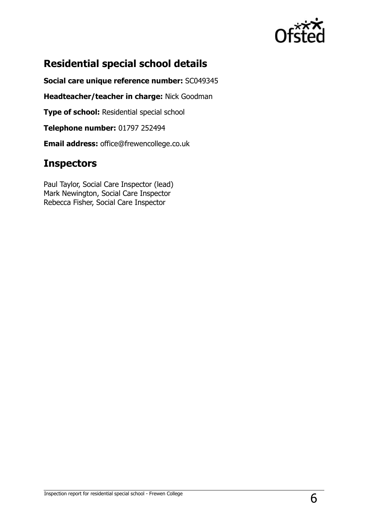

# **Residential special school details**

**Social care unique reference number:** SC049345

**Headteacher/teacher in charge:** Nick Goodman

**Type of school: Residential special school** 

**Telephone number:** 01797 252494

**Email address:** office@frewencollege.co.uk

## **Inspectors**

Paul Taylor, Social Care Inspector (lead) Mark Newington, Social Care Inspector Rebecca Fisher, Social Care Inspector